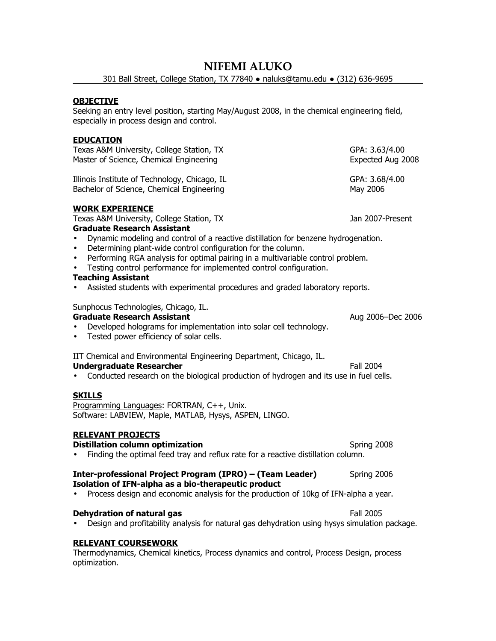# **NIFEMI ALUKO**

301 Ball Street, College Station, TX 77840 ● naluks@tamu.edu ● (312) 636-9695

### **OBJECTIVE**

Seeking an entry level position, starting May/August 2008, in the chemical engineering field, especially in process design and control.

#### **EDUCATION**

| Texas A&M University, College Station, TX                                                                 | GPA: 3.63/4.00    |
|-----------------------------------------------------------------------------------------------------------|-------------------|
| Master of Science, Chemical Engineering                                                                   | Expected Aug 2008 |
| Illinois Institute of Technology, Chicago, IL                                                             | GPA: 3.68/4.00    |
| Bachelor of Science, Chemical Engineering                                                                 | May 2006          |
| <b>WORK EXPERIENCE</b><br>Texas A&M University, College Station, TX<br><b>Graduate Research Assistant</b> | Jan 2007-Present  |

- Dynamic modeling and control of a reactive distillation for benzene hydrogenation.
- Determining plant-wide control configuration for the column.
- Performing RGA analysis for optimal pairing in a multivariable control problem.
- Testing control performance for implemented control configuration.

#### **Teaching Assistant**

• Assisted students with experimental procedures and graded laboratory reports.

Sunphocus Technologies, Chicago, IL.

**Graduate Research Assistant Community Community Community Community Community Community Community Community Community Community Community Community Community Community Community Community Community Community Community** 

- Developed holograms for implementation into solar cell technology.
- Tested power efficiency of solar cells.

IIT Chemical and Environmental Engineering Department, Chicago, IL.

#### **Undergraduate Researcher and Equipment Construction Construction Call 2004**

• Conducted research on the biological production of hydrogen and its use in fuel cells.

# **SKILLS**

Programming Languages: FORTRAN, C++, Unix. Software: LABVIEW, Maple, MATLAB, Hysys, ASPEN, LINGO.

# **RELEVANT PROJECTS**

**Distillation column optimization** Spring 2008

• Finding the optimal feed tray and reflux rate for a reactive distillation column.

#### **Inter-professional Project Program (IPRO) – (Team Leader)** Spring 2006 **Isolation of IFN-alpha as a bio-therapeutic product**

• Process design and economic analysis for the production of 10kg of IFN-alpha a year.

# **Dehydration of natural gas** Fall 2005

• Design and profitability analysis for natural gas dehydration using hysys simulation package.

# **RELEVANT COURSEWORK**

Thermodynamics, Chemical kinetics, Process dynamics and control, Process Design, process optimization.